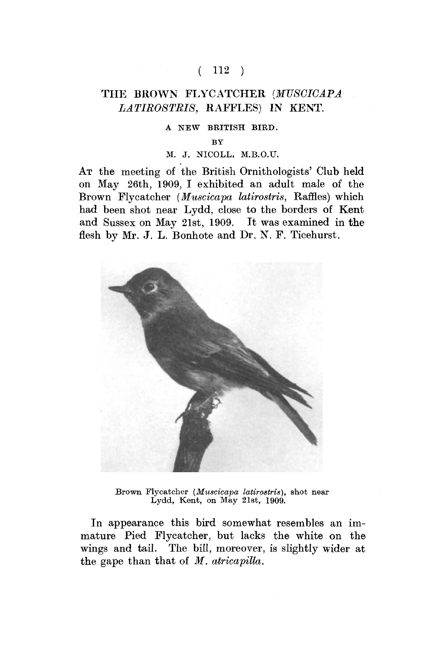# $(112)$

# THE BROWN FLYCATCHER (MUSCICAPA *LATIROSTRIS,* RAFFLES) IN KENT.

#### A NEW BRITISH BIRD.

BY

### M. J. NICOLL, M.B.O.U.

AT the meeting of the British Ornithologists' Club held on May 26th, 1909, I exhibited an adult male of the Brown Flycatcher *(Muscicapa latirostris,* Raffles) which had been shot near Lydd, close to the borders of Kent and Sussex on May 21st, 1909. It was examined in the flesh by Mr. J. L. Bonhote and Dr. N. F. Ticehurst.



Brown Flycatcher *(Muscicapa latirostris),* shot near Lydd, Kent, on May 21st, 1909.

In appearance this bird somewhat resembles an immature Pied Flycatcher, but lacks the white on the wings and tail. The bill, moreover, is slightly wider at the gape than that of *M. atricapitta.*